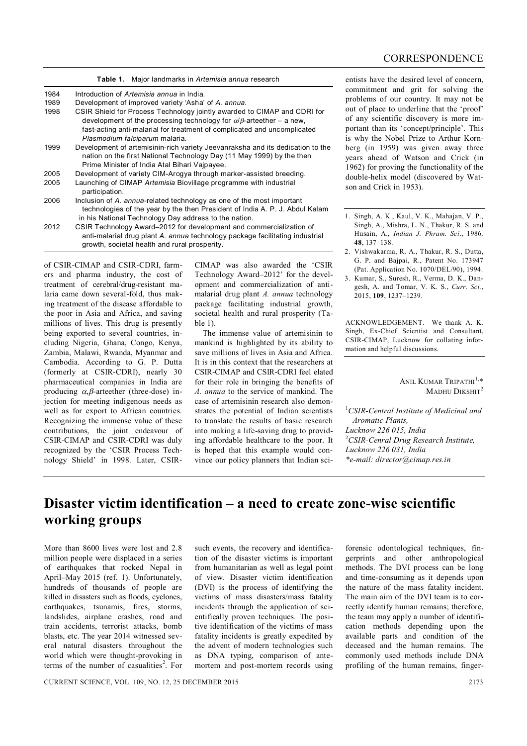|      | Table 1. Major landmarks in Artemisia annua research                                                                                                                                                                                                                      |
|------|---------------------------------------------------------------------------------------------------------------------------------------------------------------------------------------------------------------------------------------------------------------------------|
| 1984 | Introduction of Artemisia annua in India.                                                                                                                                                                                                                                 |
| 1989 | Development of improved variety 'Asha' of A. annua.                                                                                                                                                                                                                       |
| 1998 | CSIR Shield for Process Technology jointly awarded to CIMAP and CDRI for<br>development of the processing technology for $\alpha/\beta$ -arteether – a new,<br>fast-acting anti-malarial for treatment of complicated and uncomplicated<br>Plasmodium falciparum malaria. |
| 1999 | Development of artemisinin-rich variety Jeevanraksha and its dedication to the<br>nation on the first National Technology Day (11 May 1999) by the then<br>Prime Minister of India Atal Bihari Vajpayee.                                                                  |
| 2005 | Development of variety CIM-Arogya through marker-assisted breeding.                                                                                                                                                                                                       |
| 2005 | Launching of CIMAP Artemisia Biovillage programme with industrial<br>participation.                                                                                                                                                                                       |
| 2006 | Inclusion of A. annua-related technology as one of the most important<br>technologies of the year by the then President of India A. P. J. Abdul Kalam<br>in his National Technology Day address to the nation.                                                            |
| 2012 | CSIR Technology Award-2012 for development and commercialization of<br>anti-malarial drug plant A. annua technology package facilitating industrial<br>growth, societal health and rural prosperity.                                                                      |

of CSIR-CIMAP and CSIR-CDRI, farmers and pharma industry, the cost of treatment of cerebral/drug-resistant malaria came down several-fold, thus making treatment of the disease affordable to the poor in Asia and Africa, and saving millions of lives. This drug is presently being exported to several countries, including Nigeria, Ghana, Congo, Kenya, Zambia, Malawi, Rwanda, Myanmar and Cambodia. According to G. P. Dutta (formerly at CSIR-CDRI), nearly 30 pharmaceutical companies in India are producing  $\alpha$ , $\beta$ -arteether (three-dose) injection for meeting indigenous needs as well as for export to African countries. Recognizing the immense value of these contributions, the joint endeavour of CSIR-CIMAP and CSIR-CDRI was duly recognized by the 'CSIR Process Technology Shield' in 1998. Later, CSIR-

CIMAP was also awarded the 'CSIR Technology Award–2012' for the development and commercialization of antimalarial drug plant *A. annua* technology package facilitating industrial growth, societal health and rural prosperity (Table 1).

The immense value of artemisinin to mankind is highlighted by its ability to save millions of lives in Asia and Africa. It is in this context that the researchers at CSIR-CIMAP and CSIR-CDRI feel elated for their role in bringing the benefits of *A. annua* to the service of mankind. The case of artemisinin research also demonstrates the potential of Indian scientists to translate the results of basic research into making a life-saving drug to providing affordable healthcare to the poor. It is hoped that this example would convince our policy planners that Indian scientists have the desired level of concern, commitment and grit for solving the problems of our country. It may not be out of place to underline that the 'proof' of any scientific discovery is more important than its 'concept/principle'. This is why the Nobel Prize to Arthur Kornberg (in 1959) was given away three years ahead of Watson and Crick (in 1962) for proving the functionality of the double-helix model (discovered by Watson and Crick in 1953).

- 1. Singh, A. K., Kaul, V. K., Mahajan, V. P., Singh, A., Mishra, L. N., Thakur, R. S. and Husain, A., *Indian J. Phram. Sci*., 1986*,*  **48**, 137–138.
- 2. Vishwakarma, R. A., Thakur, R. S., Dutta, G. P. and Bajpai, R., Patent No. 173947 (Pat. Application No. 1070/DEL/90), 1994.
- 3. Kumar, S., Suresh, R., Verma, D. K., Dangesh, A. and Tomar, V. K. S., *Curr. Sci.*, 2015, **109**, 1237–1239.

ACKNOWLEDGEMENT. We thank A. K. Singh, Ex-Chief Scientist and Consultant, CSIR-CIMAP, Lucknow for collating information and helpful discussions.

## Anil Kumar Tripathi<sup>1,</sup>\* MADHU DIKSHIT<sup>2</sup>

<sup>1</sup>*CSIR-Central Institute of Medicinal and Aromatic Plants, Lucknow 226 015, India* <sup>2</sup>*CSIR-Cenral Drug Research Institute, Lucknow 226 031, India \*e-mail: director@cimap.res.in*

## **Disaster victim identification – a need to create zone-wise scientific working groups**

More than 8600 lives were lost and 2.8 million people were displaced in a series of earthquakes that rocked Nepal in April–May 2015 (ref. 1). Unfortunately, hundreds of thousands of people are killed in disasters such as floods, cyclones, earthquakes, tsunamis, fires, storms, landslides, airplane crashes, road and train accidents, terrorist attacks, bomb blasts, etc. The year 2014 witnessed several natural disasters throughout the world which were thought-provoking in terms of the number of casualities<sup>2</sup>. For such events, the recovery and identification of the disaster victims is important from humanitarian as well as legal point of view. Disaster victim identification (DVI) is the process of identifying the victims of mass disasters/mass fatality incidents through the application of scientifically proven techniques. The positive identification of the victims of mass fatality incidents is greatly expedited by the advent of modern technologies such as DNA typing, comparison of antemortem and post-mortem records using forensic odontological techniques, fingerprints and other anthropological methods. The DVI process can be long and time-consuming as it depends upon the nature of the mass fatality incident. The main aim of the DVI team is to correctly identify human remains; therefore, the team may apply a number of identification methods depending upon the available parts and condition of the deceased and the human remains. The commonly used methods include DNA profiling of the human remains, finger-